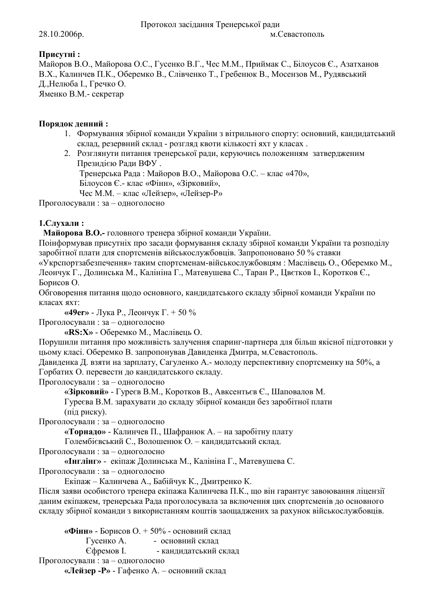## Присутні:

Майоров В.О., Майорова О.С., Гусенко В.Г., Чес М.М., Приймак С., Білоусов Є., Азатханов В.Х., Калинчев П.К., Оберемко В., Слівченко Т., Гребенюк В., Мосензов М., Рудявський Д., Нелюба І., Гречко О. Яменко В.М. - секретар

Порядок денний:

- 1. Формування збірної команди України з вітрильного спорту: основний, кандидатський склад, резервний склад - розгляд квоти кількості яхт у класах.
- 2. Розглянути питання тренерської ради, керуючись положенням затвердженим Президією Ради ВФУ.

Тренерська Рада: Майоров В.О., Майорова О.С. - клас «470»,

Білоусов Є.- клас «Фінн», «Зірковий»,

Чес М.М. – клас «Лейзер», «Лейзер-Р»

Проголосували: за - одноголосно

## 1. Слухали:

Майорова В.О.- головного тренера збірної команди України.

Поінформував присутніх про засади формування складу збірної команди України та розподілу заробітної плати для спортсменів військослужбовців. Запропоновано 50 % ставки «Укрспортзабезпечення» таким спортсменам-військослужбовцям: Маслівець О., Оберемко М., Леончук Г., Долинська М., Калініна Г., Матевушева С., Таран Р., Цвєтков І., Коротков Є.,

Борисов О.

Обговорення питання щодо основного, кандидатського складу збірної команди України по класах яхт:

«49ег» - Лука Р., Леончук Г. + 50 %

Проголосували: за - одноголосно

«RS:X» - Оберемко М., Маслівець О.

Порушили питання про можливість залучення спаринг-партнера для більш якісної підготовки у цьому класі. Оберемко В. запропонував Давиденка Дмитра, м. Севастополь.

Давиденка Д. взяти на зарплату, Сагуленко А.- молоду перспективну спортсменку на 50%, а

Горбатих О. перевести до кандидатського складу. Проголосували: за - одноголосно

«Зірковий» - Гуреєв В.М., Коротков В., Авксентьєв Є., Шаповалов М.

Гуреєва В.М. зарахувати до складу збірної команди без заробітної плати

(під риску).

Проголосували: за - одноголосно

«Торнадо» - Калинчев П., Шафранюк А. - на заробітну плату

Голембієвський С., Волошенюк О. - кандидатський склад.

Проголосували: за - одноголосно

«Інглінг» - екіпаж Долинська М., Калініна Г., Матевушева С.

Проголосували: за - одноголосно

Екіпаж - Калинчева А., Бабійчук К., Дмитренко К.

Після заяви особистого тренера екіпажа Калинчева П.К., що він гарантує завоювання ліцензії даним екіпажем, тренерська Рада проголосувала за включення цих спортсменів до основного складу збірної команди з використанням коштів заощаджених за рахунок військослужбовців.

«Фінн» - Борисов О. + 50% - основний склад Гусенко А. - основний склад Сфремов I. - кандидатський склад Проголосували: за - одноголосно

«Лейзер - Р» - Гафенко А. - основний склад